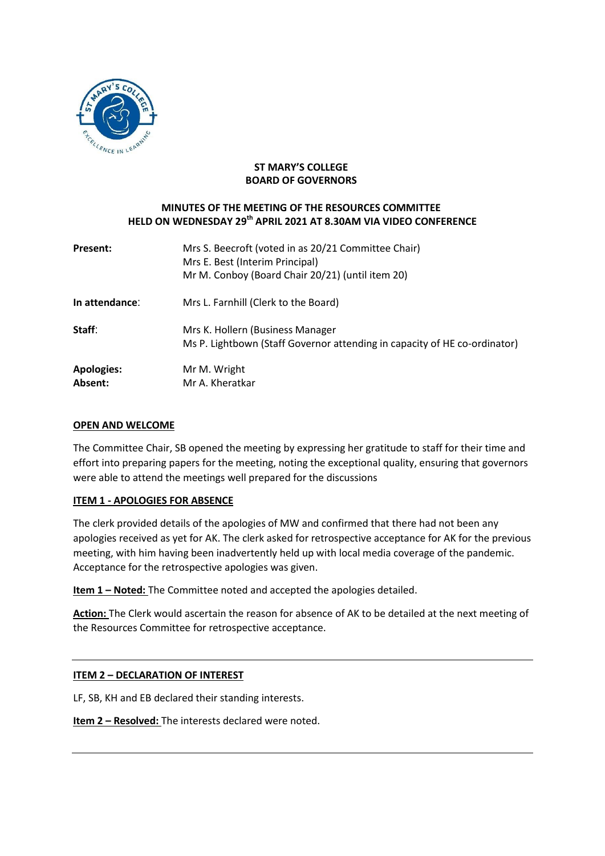

## **ST MARY'S COLLEGE BOARD OF GOVERNORS**

## **MINUTES OF THE MEETING OF THE RESOURCES COMMITTEE HELD ON WEDNESDAY 29 th APRIL 2021 AT 8.30AM VIA VIDEO CONFERENCE**

| <b>Present:</b>              | Mrs S. Beecroft (voted in as 20/21 Committee Chair)<br>Mrs E. Best (Interim Principal)<br>Mr M. Conboy (Board Chair 20/21) (until item 20) |
|------------------------------|--------------------------------------------------------------------------------------------------------------------------------------------|
| In attendance:               | Mrs L. Farnhill (Clerk to the Board)                                                                                                       |
| Staff:                       | Mrs K. Hollern (Business Manager<br>Ms P. Lightbown (Staff Governor attending in capacity of HE co-ordinator)                              |
| <b>Apologies:</b><br>Absent: | Mr M. Wright<br>Mr A. Kheratkar                                                                                                            |

### **OPEN AND WELCOME**

The Committee Chair, SB opened the meeting by expressing her gratitude to staff for their time and effort into preparing papers for the meeting, noting the exceptional quality, ensuring that governors were able to attend the meetings well prepared for the discussions

## **ITEM 1 - APOLOGIES FOR ABSENCE**

The clerk provided details of the apologies of MW and confirmed that there had not been any apologies received as yet for AK. The clerk asked for retrospective acceptance for AK for the previous meeting, with him having been inadvertently held up with local media coverage of the pandemic. Acceptance for the retrospective apologies was given.

**Item 1 – Noted:** The Committee noted and accepted the apologies detailed.

**Action:** The Clerk would ascertain the reason for absence of AK to be detailed at the next meeting of the Resources Committee for retrospective acceptance.

## **ITEM 2 – DECLARATION OF INTEREST**

LF, SB, KH and EB declared their standing interests.

**Item 2 – Resolved:** The interests declared were noted.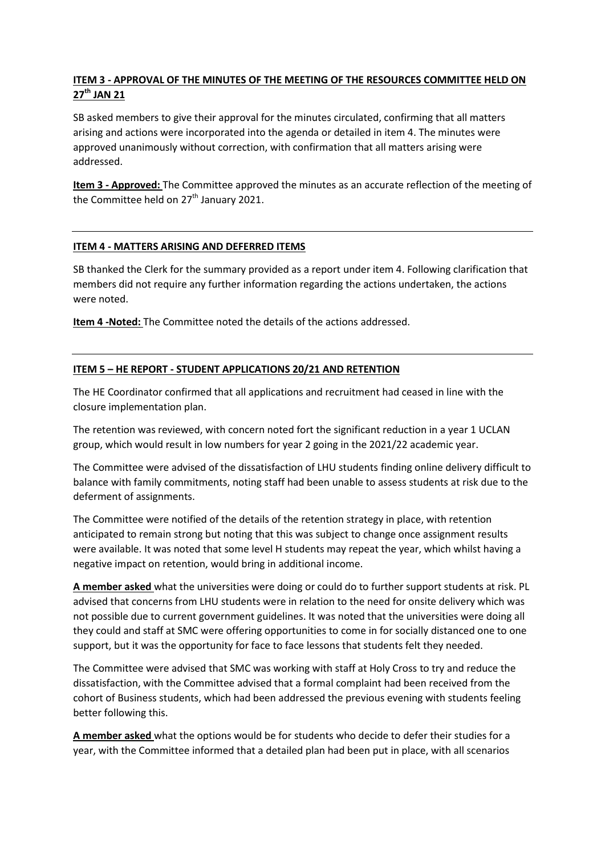# **ITEM 3 - APPROVAL OF THE MINUTES OF THE MEETING OF THE RESOURCES COMMITTEE HELD ON 27 th JAN 21**

SB asked members to give their approval for the minutes circulated, confirming that all matters arising and actions were incorporated into the agenda or detailed in item 4. The minutes were approved unanimously without correction, with confirmation that all matters arising were addressed.

**Item 3 - Approved:** The Committee approved the minutes as an accurate reflection of the meeting of the Committee held on 27<sup>th</sup> January 2021.

### **ITEM 4 - MATTERS ARISING AND DEFERRED ITEMS**

SB thanked the Clerk for the summary provided as a report under item 4. Following clarification that members did not require any further information regarding the actions undertaken, the actions were noted.

**Item 4 -Noted:** The Committee noted the details of the actions addressed.

## **ITEM 5 – HE REPORT - STUDENT APPLICATIONS 20/21 AND RETENTION**

The HE Coordinator confirmed that all applications and recruitment had ceased in line with the closure implementation plan.

The retention was reviewed, with concern noted fort the significant reduction in a year 1 UCLAN group, which would result in low numbers for year 2 going in the 2021/22 academic year.

The Committee were advised of the dissatisfaction of LHU students finding online delivery difficult to balance with family commitments, noting staff had been unable to assess students at risk due to the deferment of assignments.

The Committee were notified of the details of the retention strategy in place, with retention anticipated to remain strong but noting that this was subject to change once assignment results were available. It was noted that some level H students may repeat the year, which whilst having a negative impact on retention, would bring in additional income.

**A member asked** what the universities were doing or could do to further support students at risk. PL advised that concerns from LHU students were in relation to the need for onsite delivery which was not possible due to current government guidelines. It was noted that the universities were doing all they could and staff at SMC were offering opportunities to come in for socially distanced one to one support, but it was the opportunity for face to face lessons that students felt they needed.

The Committee were advised that SMC was working with staff at Holy Cross to try and reduce the dissatisfaction, with the Committee advised that a formal complaint had been received from the cohort of Business students, which had been addressed the previous evening with students feeling better following this.

**A member asked** what the options would be for students who decide to defer their studies for a year, with the Committee informed that a detailed plan had been put in place, with all scenarios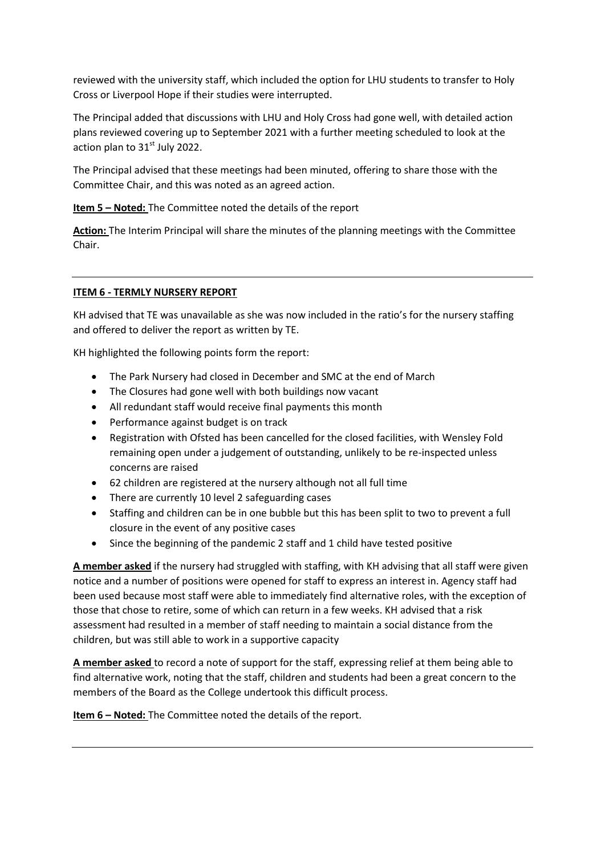reviewed with the university staff, which included the option for LHU students to transfer to Holy Cross or Liverpool Hope if their studies were interrupted.

The Principal added that discussions with LHU and Holy Cross had gone well, with detailed action plans reviewed covering up to September 2021 with a further meeting scheduled to look at the action plan to  $31<sup>st</sup>$  July 2022.

The Principal advised that these meetings had been minuted, offering to share those with the Committee Chair, and this was noted as an agreed action.

**Item 5 – Noted:** The Committee noted the details of the report

**Action:** The Interim Principal will share the minutes of the planning meetings with the Committee Chair.

### **ITEM 6 - TERMLY NURSERY REPORT**

KH advised that TE was unavailable as she was now included in the ratio's for the nursery staffing and offered to deliver the report as written by TE.

KH highlighted the following points form the report:

- The Park Nursery had closed in December and SMC at the end of March
- The Closures had gone well with both buildings now vacant
- All redundant staff would receive final payments this month
- Performance against budget is on track
- Registration with Ofsted has been cancelled for the closed facilities, with Wensley Fold remaining open under a judgement of outstanding, unlikely to be re-inspected unless concerns are raised
- 62 children are registered at the nursery although not all full time
- There are currently 10 level 2 safeguarding cases
- Staffing and children can be in one bubble but this has been split to two to prevent a full closure in the event of any positive cases
- Since the beginning of the pandemic 2 staff and 1 child have tested positive

**A member asked** if the nursery had struggled with staffing, with KH advising that all staff were given notice and a number of positions were opened for staff to express an interest in. Agency staff had been used because most staff were able to immediately find alternative roles, with the exception of those that chose to retire, some of which can return in a few weeks. KH advised that a risk assessment had resulted in a member of staff needing to maintain a social distance from the children, but was still able to work in a supportive capacity

**A member asked** to record a note of support for the staff, expressing relief at them being able to find alternative work, noting that the staff, children and students had been a great concern to the members of the Board as the College undertook this difficult process.

**Item 6 – Noted:** The Committee noted the details of the report.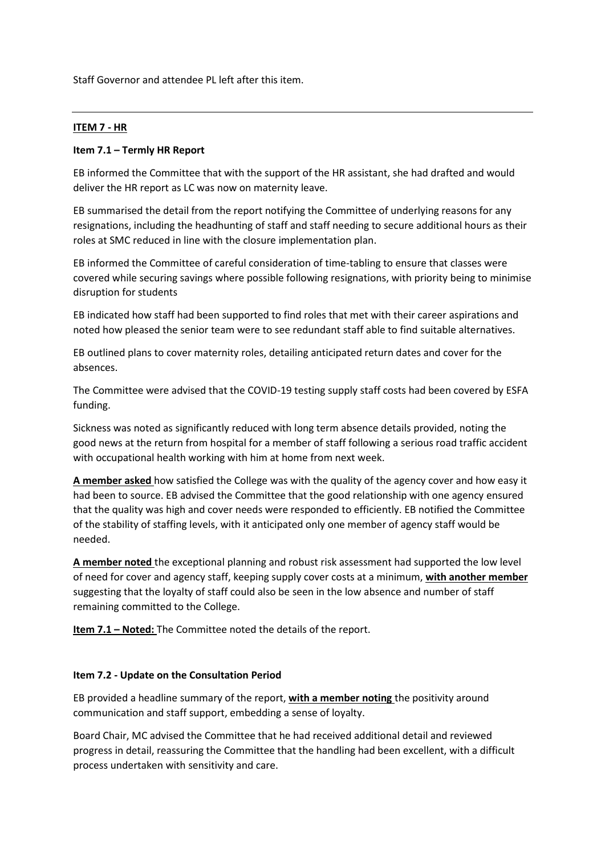Staff Governor and attendee PL left after this item.

### **ITEM 7 - HR**

### **Item 7.1 – Termly HR Report**

EB informed the Committee that with the support of the HR assistant, she had drafted and would deliver the HR report as LC was now on maternity leave.

EB summarised the detail from the report notifying the Committee of underlying reasons for any resignations, including the headhunting of staff and staff needing to secure additional hours as their roles at SMC reduced in line with the closure implementation plan.

EB informed the Committee of careful consideration of time-tabling to ensure that classes were covered while securing savings where possible following resignations, with priority being to minimise disruption for students

EB indicated how staff had been supported to find roles that met with their career aspirations and noted how pleased the senior team were to see redundant staff able to find suitable alternatives.

EB outlined plans to cover maternity roles, detailing anticipated return dates and cover for the absences.

The Committee were advised that the COVID-19 testing supply staff costs had been covered by ESFA funding.

Sickness was noted as significantly reduced with long term absence details provided, noting the good news at the return from hospital for a member of staff following a serious road traffic accident with occupational health working with him at home from next week.

**A member asked** how satisfied the College was with the quality of the agency cover and how easy it had been to source. EB advised the Committee that the good relationship with one agency ensured that the quality was high and cover needs were responded to efficiently. EB notified the Committee of the stability of staffing levels, with it anticipated only one member of agency staff would be needed.

**A member noted** the exceptional planning and robust risk assessment had supported the low level of need for cover and agency staff, keeping supply cover costs at a minimum, **with another member**  suggesting that the loyalty of staff could also be seen in the low absence and number of staff remaining committed to the College.

**Item 7.1 – Noted:** The Committee noted the details of the report.

#### **Item 7.2 - Update on the Consultation Period**

EB provided a headline summary of the report, **with a member noting** the positivity around communication and staff support, embedding a sense of loyalty.

Board Chair, MC advised the Committee that he had received additional detail and reviewed progress in detail, reassuring the Committee that the handling had been excellent, with a difficult process undertaken with sensitivity and care.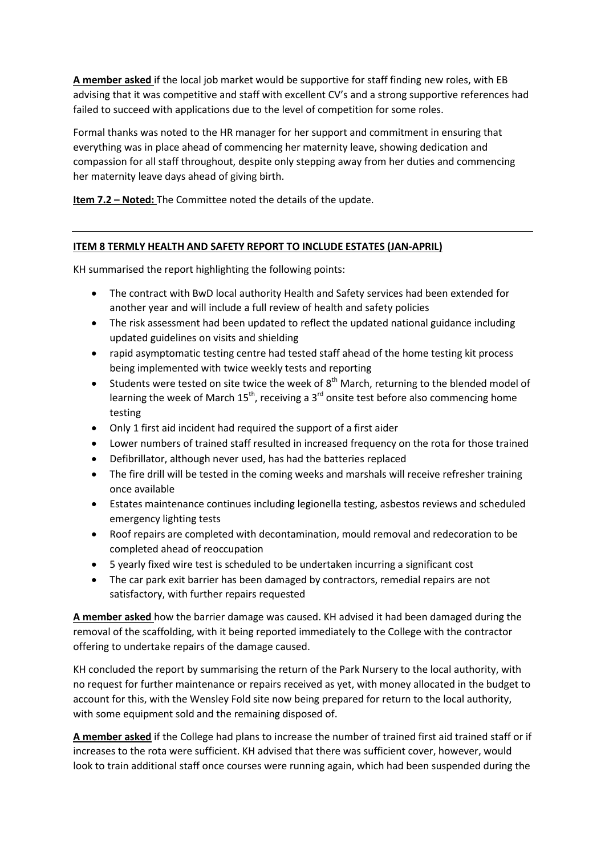**A member asked** if the local job market would be supportive for staff finding new roles, with EB advising that it was competitive and staff with excellent CV's and a strong supportive references had failed to succeed with applications due to the level of competition for some roles.

Formal thanks was noted to the HR manager for her support and commitment in ensuring that everything was in place ahead of commencing her maternity leave, showing dedication and compassion for all staff throughout, despite only stepping away from her duties and commencing her maternity leave days ahead of giving birth.

**Item 7.2 – Noted:** The Committee noted the details of the update.

## **ITEM 8 TERMLY HEALTH AND SAFETY REPORT TO INCLUDE ESTATES (JAN-APRIL)**

KH summarised the report highlighting the following points:

- The contract with BwD local authority Health and Safety services had been extended for another year and will include a full review of health and safety policies
- The risk assessment had been updated to reflect the updated national guidance including updated guidelines on visits and shielding
- rapid asymptomatic testing centre had tested staff ahead of the home testing kit process being implemented with twice weekly tests and reporting
- Students were tested on site twice the week of  $8<sup>th</sup>$  March, returning to the blended model of learning the week of March  $15^{th}$ , receiving a  $3^{rd}$  onsite test before also commencing home testing
- Only 1 first aid incident had required the support of a first aider
- Lower numbers of trained staff resulted in increased frequency on the rota for those trained
- Defibrillator, although never used, has had the batteries replaced
- The fire drill will be tested in the coming weeks and marshals will receive refresher training once available
- Estates maintenance continues including legionella testing, asbestos reviews and scheduled emergency lighting tests
- Roof repairs are completed with decontamination, mould removal and redecoration to be completed ahead of reoccupation
- 5 yearly fixed wire test is scheduled to be undertaken incurring a significant cost
- The car park exit barrier has been damaged by contractors, remedial repairs are not satisfactory, with further repairs requested

**A member asked** how the barrier damage was caused. KH advised it had been damaged during the removal of the scaffolding, with it being reported immediately to the College with the contractor offering to undertake repairs of the damage caused.

KH concluded the report by summarising the return of the Park Nursery to the local authority, with no request for further maintenance or repairs received as yet, with money allocated in the budget to account for this, with the Wensley Fold site now being prepared for return to the local authority, with some equipment sold and the remaining disposed of.

**A member asked** if the College had plans to increase the number of trained first aid trained staff or if increases to the rota were sufficient. KH advised that there was sufficient cover, however, would look to train additional staff once courses were running again, which had been suspended during the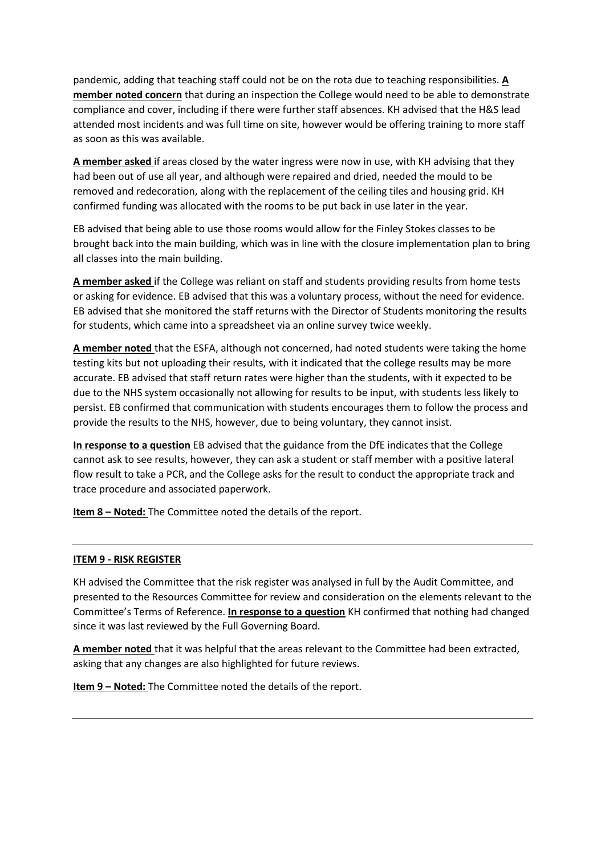pandemic, adding that teaching staff could not be on the rota due to teaching responsibilities. **A member noted concern** that during an inspection the College would need to be able to demonstrate compliance and cover, including if there were further staff absences. KH advised that the H&S lead attended most incidents and was full time on site, however would be offering training to more staff as soon as this was available.

**A member asked** if areas closed by the water ingress were now in use, with KH advising that they had been out of use all year, and although were repaired and dried, needed the mould to be removed and redecoration, along with the replacement of the ceiling tiles and housing grid. KH confirmed funding was allocated with the rooms to be put back in use later in the year.

EB advised that being able to use those rooms would allow for the Finley Stokes classes to be brought back into the main building, which was in line with the closure implementation plan to bring all classes into the main building.

**A member asked** if the College was reliant on staff and students providing results from home tests or asking for evidence. EB advised that this was a voluntary process, without the need for evidence. EB advised that she monitored the staff returns with the Director of Students monitoring the results for students, which came into a spreadsheet via an online survey twice weekly.

**A member noted** that the ESFA, although not concerned, had noted students were taking the home testing kits but not uploading their results, with it indicated that the college results may be more accurate. EB advised that staff return rates were higher than the students, with it expected to be due to the NHS system occasionally not allowing for results to be input, with students less likely to persist. EB confirmed that communication with students encourages them to follow the process and provide the results to the NHS, however, due to being voluntary, they cannot insist.

**In response to a question** EB advised that the guidance from the DfE indicates that the College cannot ask to see results, however, they can ask a student or staff member with a positive lateral flow result to take a PCR, and the College asks for the result to conduct the appropriate track and trace procedure and associated paperwork.

**Item 8 – Noted:** The Committee noted the details of the report.

### **ITEM 9 - RISK REGISTER**

KH advised the Committee that the risk register was analysed in full by the Audit Committee, and presented to the Resources Committee for review and consideration on the elements relevant to the Committee's Terms of Reference. **In response to a question** KH confirmed that nothing had changed since it was last reviewed by the Full Governing Board.

**A member noted** that it was helpful that the areas relevant to the Committee had been extracted, asking that any changes are also highlighted for future reviews.

**Item 9 – Noted:** The Committee noted the details of the report.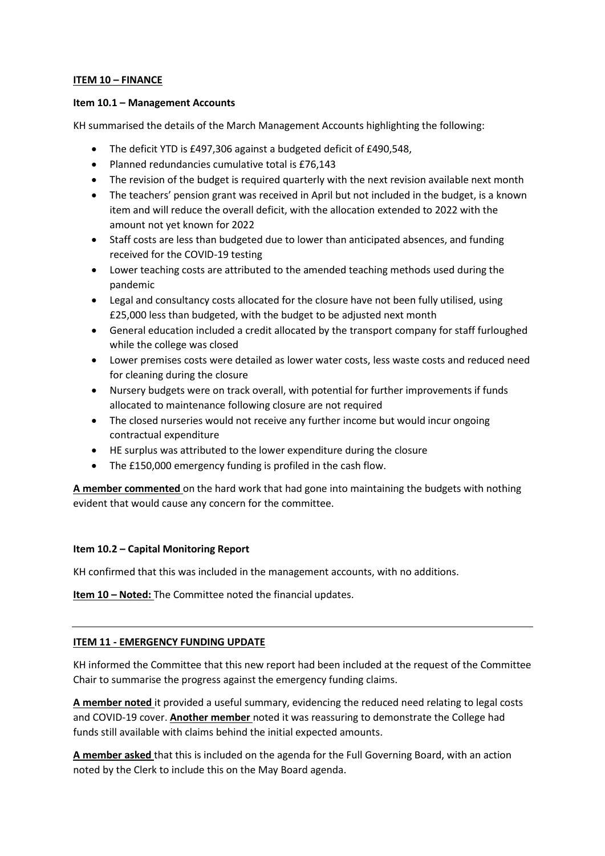### **ITEM 10 – FINANCE**

### **Item 10.1 – Management Accounts**

KH summarised the details of the March Management Accounts highlighting the following:

- The deficit YTD is £497,306 against a budgeted deficit of £490,548,
- Planned redundancies cumulative total is £76,143
- The revision of the budget is required quarterly with the next revision available next month
- The teachers' pension grant was received in April but not included in the budget, is a known item and will reduce the overall deficit, with the allocation extended to 2022 with the amount not yet known for 2022
- Staff costs are less than budgeted due to lower than anticipated absences, and funding received for the COVID-19 testing
- Lower teaching costs are attributed to the amended teaching methods used during the pandemic
- Legal and consultancy costs allocated for the closure have not been fully utilised, using £25,000 less than budgeted, with the budget to be adjusted next month
- General education included a credit allocated by the transport company for staff furloughed while the college was closed
- Lower premises costs were detailed as lower water costs, less waste costs and reduced need for cleaning during the closure
- Nursery budgets were on track overall, with potential for further improvements if funds allocated to maintenance following closure are not required
- The closed nurseries would not receive any further income but would incur ongoing contractual expenditure
- HE surplus was attributed to the lower expenditure during the closure
- The £150,000 emergency funding is profiled in the cash flow.

**A member commented** on the hard work that had gone into maintaining the budgets with nothing evident that would cause any concern for the committee.

## **Item 10.2 – Capital Monitoring Report**

KH confirmed that this was included in the management accounts, with no additions.

**Item 10 – Noted:** The Committee noted the financial updates.

### **ITEM 11 - EMERGENCY FUNDING UPDATE**

KH informed the Committee that this new report had been included at the request of the Committee Chair to summarise the progress against the emergency funding claims.

**A member noted** it provided a useful summary, evidencing the reduced need relating to legal costs and COVID-19 cover. **Another member** noted it was reassuring to demonstrate the College had funds still available with claims behind the initial expected amounts.

**A member asked** that this is included on the agenda for the Full Governing Board, with an action noted by the Clerk to include this on the May Board agenda.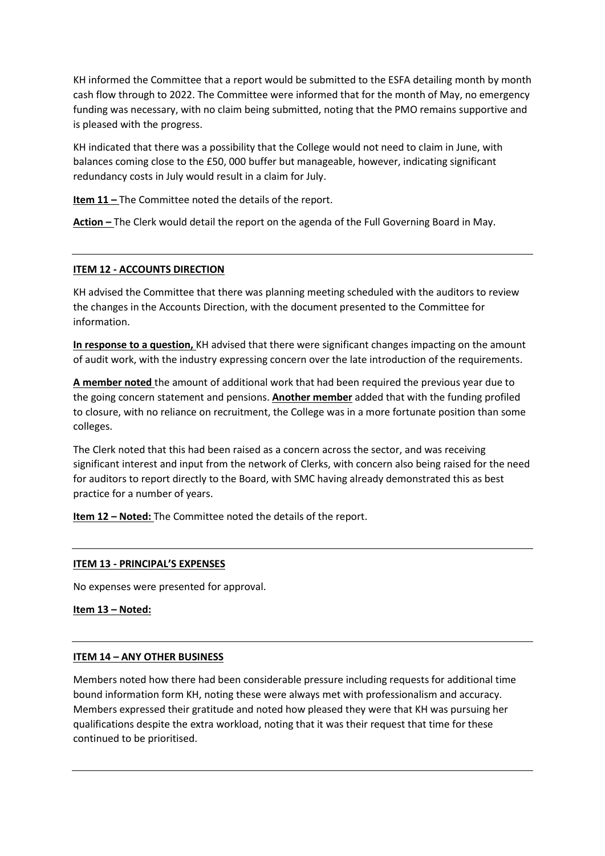KH informed the Committee that a report would be submitted to the ESFA detailing month by month cash flow through to 2022. The Committee were informed that for the month of May, no emergency funding was necessary, with no claim being submitted, noting that the PMO remains supportive and is pleased with the progress.

KH indicated that there was a possibility that the College would not need to claim in June, with balances coming close to the £50, 000 buffer but manageable, however, indicating significant redundancy costs in July would result in a claim for July.

**Item 11 -** The Committee noted the details of the report.

**Action –** The Clerk would detail the report on the agenda of the Full Governing Board in May.

### **ITEM 12 - ACCOUNTS DIRECTION**

KH advised the Committee that there was planning meeting scheduled with the auditors to review the changes in the Accounts Direction, with the document presented to the Committee for information.

**In response to a question,** KH advised that there were significant changes impacting on the amount of audit work, with the industry expressing concern over the late introduction of the requirements.

**A member noted** the amount of additional work that had been required the previous year due to the going concern statement and pensions. **Another member** added that with the funding profiled to closure, with no reliance on recruitment, the College was in a more fortunate position than some colleges.

The Clerk noted that this had been raised as a concern across the sector, and was receiving significant interest and input from the network of Clerks, with concern also being raised for the need for auditors to report directly to the Board, with SMC having already demonstrated this as best practice for a number of years.

**Item 12 – Noted:** The Committee noted the details of the report.

### **ITEM 13 - PRINCIPAL'S EXPENSES**

No expenses were presented for approval.

**Item 13 – Noted:** 

### **ITEM 14 – ANY OTHER BUSINESS**

Members noted how there had been considerable pressure including requests for additional time bound information form KH, noting these were always met with professionalism and accuracy. Members expressed their gratitude and noted how pleased they were that KH was pursuing her qualifications despite the extra workload, noting that it was their request that time for these continued to be prioritised.